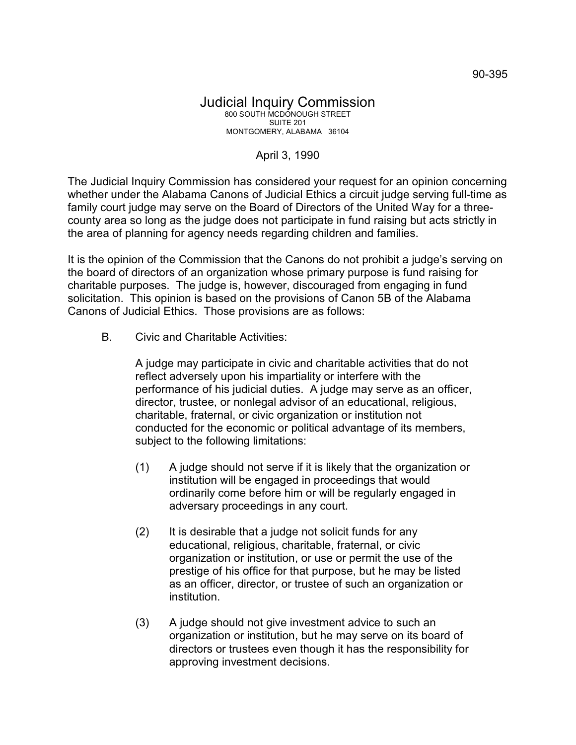## April 3, 1990

The Judicial Inquiry Commission has considered your request for an opinion concerning whether under the Alabama Canons of Judicial Ethics a circuit judge serving full-time as family court judge may serve on the Board of Directors of the United Way for a threecounty area so long as the judge does not participate in fund raising but acts strictly in the area of planning for agency needs regarding children and families.

It is the opinion of the Commission that the Canons do not prohibit a judge's serving on the board of directors of an organization whose primary purpose is fund raising for charitable purposes. The judge is, however, discouraged from engaging in fund solicitation. This opinion is based on the provisions of Canon 5B of the Alabama Canons of Judicial Ethics. Those provisions are as follows:

B. Civic and Charitable Activities:

A judge may participate in civic and charitable activities that do not reflect adversely upon his impartiality or interfere with the performance of his judicial duties. A judge may serve as an officer, director, trustee, or nonlegal advisor of an educational, religious, charitable, fraternal, or civic organization or institution not conducted for the economic or political advantage of its members, subject to the following limitations:

- (1) A judge should not serve if it is likely that the organization or institution will be engaged in proceedings that would ordinarily come before him or will be regularly engaged in adversary proceedings in any court.
- (2) It is desirable that a judge not solicit funds for any educational, religious, charitable, fraternal, or civic organization or institution, or use or permit the use of the prestige of his office for that purpose, but he may be listed as an officer, director, or trustee of such an organization or institution.
- (3) A judge should not give investment advice to such an organization or institution, but he may serve on its board of directors or trustees even though it has the responsibility for approving investment decisions.